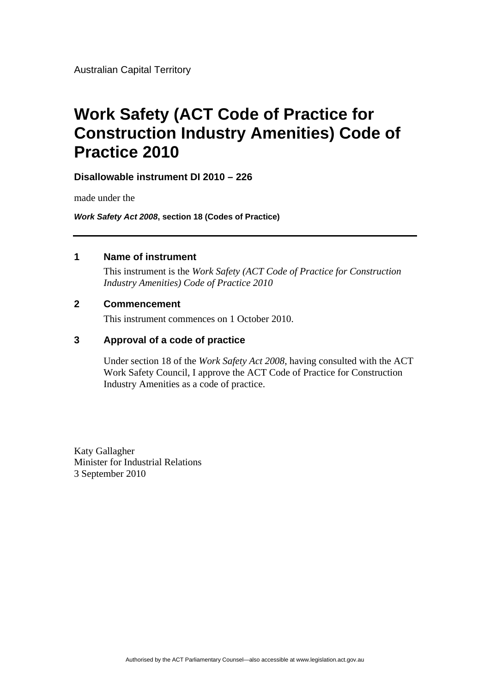# **Work Safety (ACT Code of Practice for Construction Industry Amenities) Code of Practice 2010**

#### **Disallowable instrument DI 2010 – 226**

made under the

*Work Safety Act 2008***, section 18 (Codes of Practice)** 

#### **1 Name of instrument**

This instrument is the *Work Safety (ACT Code of Practice for Construction Industry Amenities) Code of Practice 2010*

#### **2 Commencement**

This instrument commences on 1 October 2010.

#### **3 Approval of a code of practice**

Under section 18 of the *Work Safety Act 2008*, having consulted with the ACT Work Safety Council, I approve the ACT Code of Practice for Construction Industry Amenities as a code of practice.

Katy Gallagher Minister for Industrial Relations 3 September 2010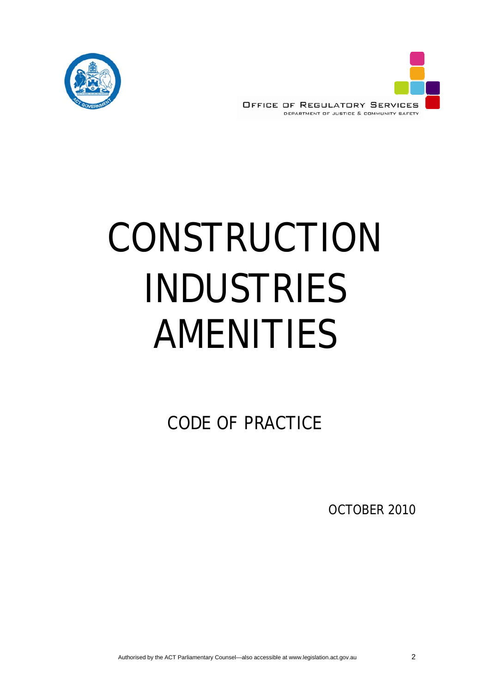

**OFFICE OF REGULATORY SERVICES** DEPARTMENT OF JUSTICE & COMMUNITY SAFETY

# CONSTRUCTION INDUSTRIES AMENITIES

CODE OF PRACTICE

OCTOBER 2010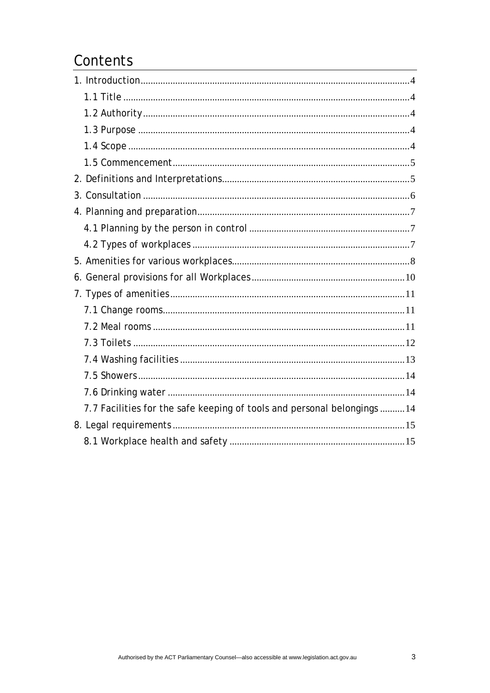## Contents

| 7.7 Facilities for the safe keeping of tools and personal belongings 14 |  |
|-------------------------------------------------------------------------|--|
|                                                                         |  |
|                                                                         |  |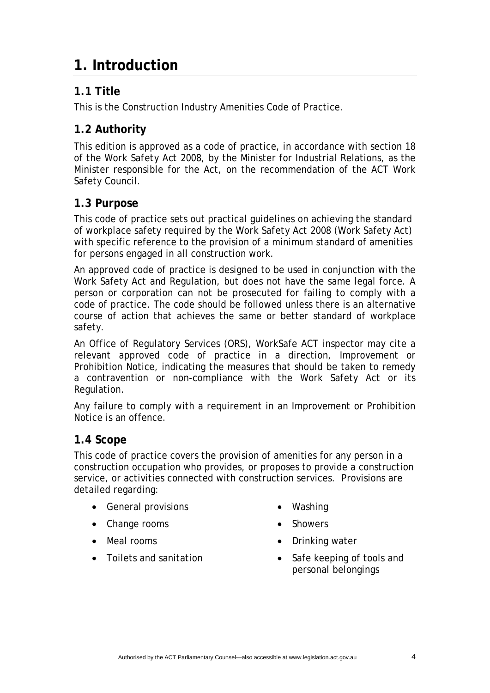# <span id="page-3-0"></span>**1. Introduction**

## **1.1 Title**

This is the Construction Industry Amenities Code of Practice.

## **1.2 Authority**

This edition is approved as a code of practice, in accordance with section 18 of the *Work Safety Act 2008*, by the Minister for Industrial Relations, as the Minister responsible for the Act, on the recommendation of the ACT Work Safety Council.

#### **1.3 Purpose**

This code of practice sets out practical guidelines on achieving the standard of workplace safety required by the *Work Safety Act 2008* (Work Safety Act) with specific reference to the provision of a minimum standard of amenities for persons engaged in all construction work.

An approved code of practice is designed to be used in conjunction with the Work Safety Act and Regulation, but does not have the same legal force. A person or corporation can not be prosecuted for failing to comply with a code of practice. The code should be followed unless there is an alternative course of action that achieves the same or better standard of workplace safety.

An Office of Regulatory Services (ORS), WorkSafe ACT inspector may cite a relevant approved code of practice in a direction, Improvement or Prohibition Notice, indicating the measures that should be taken to remedy a contravention or non-compliance with the Work Safety Act or its Regulation.

Any failure to comply with a requirement in an Improvement or Prohibition Notice is an offence.

#### **1.4 Scope**

This code of practice covers the provision of amenities for any person in a construction occupation who provides, or proposes to provide a construction service, or activities connected with construction services. Provisions are detailed regarding:

- General provisions
- Change rooms
- Meal rooms
- Toilets and sanitation
- Washing
- Showers
- Drinking water
- Safe keeping of tools and personal belongings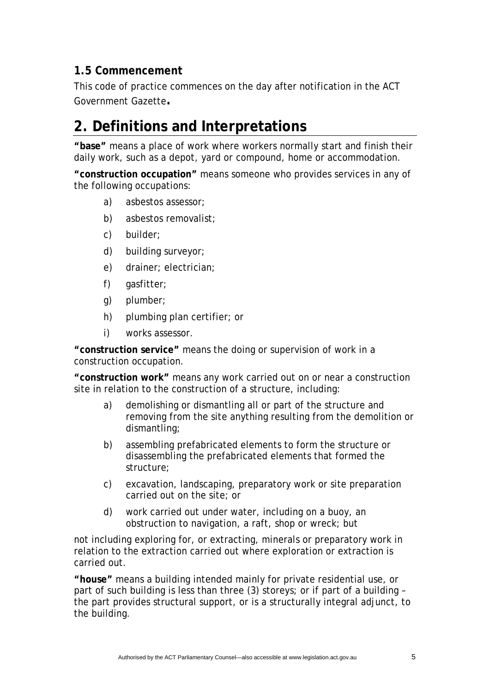### <span id="page-4-0"></span>**1.5 Commencement**

This code of practice commences on the day after notification in the ACT Government Gazette**.**

# **2. Definitions and Interpretations**

**"base"** means a place of work where workers normally start and finish their daily work, such as a depot, yard or compound, home or accommodation.

**"construction occupation"** means someone who provides services in any of the following occupations:

- a) asbestos assessor;
- b) asbestos removalist;
- c) builder;
- d) building surveyor;
- e) drainer; electrician;
- f) gasfitter;
- g) plumber;
- h) plumbing plan certifier; or
- i) works assessor.

**"construction service"** means the doing or supervision of work in a construction occupation.

**"construction work"** means any work carried out on or near a construction site in relation to the construction of a structure, including:

- a) demolishing or dismantling all or part of the structure and removing from the site anything resulting from the demolition or dismantling;
- b) assembling prefabricated elements to form the structure or disassembling the prefabricated elements that formed the structure;
- c) excavation, landscaping, preparatory work or site preparation carried out on the site; or
- d) work carried out under water, including on a buoy, an obstruction to navigation, a raft, shop or wreck; but

not including exploring for, or extracting, minerals or preparatory work in relation to the extraction carried out where exploration or extraction is carried out.

**"house"** means a building intended mainly for private residential use, or part of such building is less than three (3) storeys; or if part of a building – the part provides structural support, or is a structurally integral adjunct, to the building.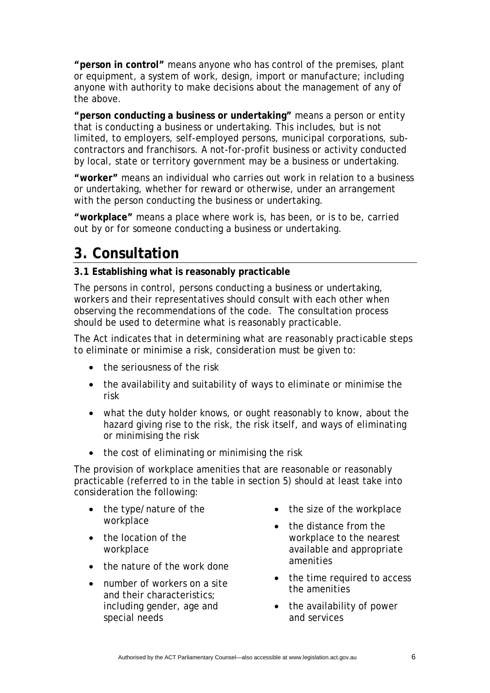<span id="page-5-0"></span>**"person in control"** means anyone who has control of the premises, plant or equipment, a system of work, design, import or manufacture; including anyone with authority to make decisions about the management of any of the above.

**"person conducting a business or undertaking"** means a person or entity that is conducting a business or undertaking. This includes, but is not limited, to employers, self-employed persons, municipal corporations, subcontractors and franchisors. A not-for-profit business or activity conducted by local, state or territory government may be a business or undertaking.

**"worker"** means an individual who carries out work in relation to a business or undertaking, whether for reward or otherwise, under an arrangement with the person conducting the business or undertaking.

**"workplace"** means a place where work is, has been, or is to be, carried out by or for someone conducting a business or undertaking.

## **3. Consultation**

#### **3.1 Establishing what is reasonably practicable**

The persons in control, persons conducting a business or undertaking, workers and their representatives should consult with each other when observing the recommendations of the code. The consultation process should be used to determine what is reasonably practicable.

The Act indicates that in determining what are *reasonably practicable steps* to eliminate or minimise a risk, consideration must be given to:

- the seriousness of the risk
- the availability and suitability of ways to eliminate or minimise the risk
- what the duty holder knows, or ought reasonably to know, about the hazard giving rise to the risk, the risk itself, and ways of eliminating or minimising the risk
- the cost of eliminating or minimising the risk

The provision of workplace amenities that are reasonable or reasonably practicable (referred to in the table in section 5) should at least take into consideration the following:

- the type/nature of the workplace
- the location of the workplace
- the nature of the work done
- number of workers on a site and their characteristics; including gender, age and special needs
- the size of the workplace
- the distance from the workplace to the nearest available and appropriate amenities
- the time required to access the amenities
- the availability of power and services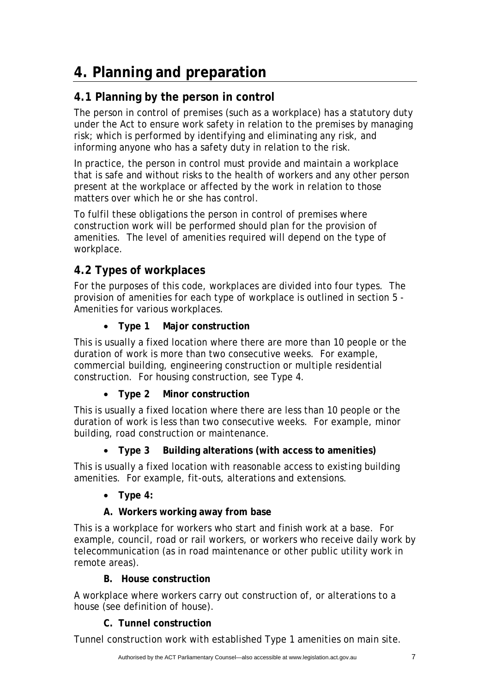# <span id="page-6-0"></span>**4. Planning and preparation**

## **4.1 Planning by the person in control**

The person in control of premises (such as a workplace) has a statutory duty under the Act to ensure work safety in relation to the premises by managing risk; which is performed by identifying and eliminating any risk, and informing anyone who has a safety duty in relation to the risk.

In practice, the person in control must provide and maintain a workplace that is safe and without risks to the health of workers and any other person present at the workplace or affected by the work in relation to those matters over which he or she has control.

To fulfil these obligations the person in control of premises where construction work will be performed should plan for the provision of amenities. The level of amenities required will depend on the type of workplace.

## **4.2 Types of workplaces**

For the purposes of this code, workplaces are divided into four types. The provision of amenities for each type of workplace is outlined in section 5 - Amenities for various workplaces.

#### • **Type 1 Major construction**

This is usually a fixed location where there are more than 10 people or the duration of work is more than two consecutive weeks. For example, commercial building, engineering construction or multiple residential construction. For housing construction, see Type 4.

#### • **Type 2 Minor construction**

This is usually a fixed location where there are less than 10 people or the duration of work is less than two consecutive weeks. For example, minor building, road construction or maintenance.

#### • **Type 3 Building alterations (with access to amenities)**

This is usually a fixed location with reasonable access to existing building amenities. For example, fit-outs, alterations and extensions.

#### • **Type 4:**

#### **A. Workers working away from base**

This is a workplace for workers who start and finish work at a base. For example, council, road or rail workers, or workers who receive daily work by telecommunication (as in road maintenance or other public utility work in remote areas).

#### **B. House construction**

A workplace where workers carry out construction of, or alterations to a house (see definition of house).

#### **C. Tunnel construction**

Tunnel construction work with established Type 1 amenities on main site.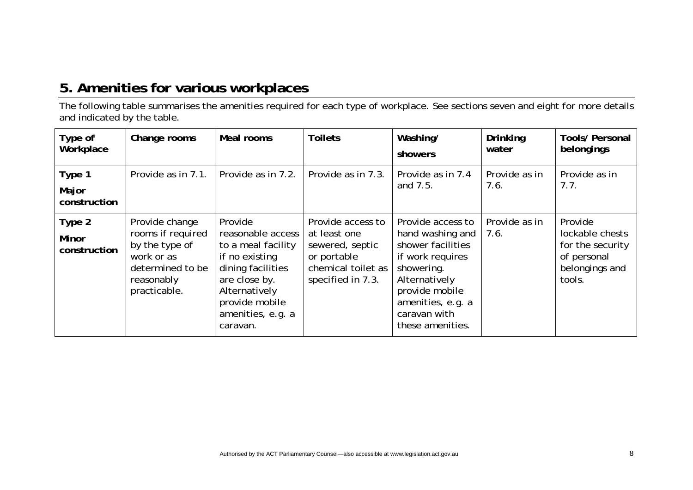## **5. Amenities for various workplaces**

The following table summarises the amenities required for each type of workplace. See sections seven and eight for more details and indicated by the table.

<span id="page-7-0"></span>

| Type of<br>Workplace                   | Change rooms                                                                                                          | Meal rooms                                                                                                                                                                     | <b>Toilets</b>                                                                                                 | Washing/<br>showers                                                                                                                                                                      | <b>Drinking</b><br>water | <b>Tools/ Personal</b><br>belongings                                                      |
|----------------------------------------|-----------------------------------------------------------------------------------------------------------------------|--------------------------------------------------------------------------------------------------------------------------------------------------------------------------------|----------------------------------------------------------------------------------------------------------------|------------------------------------------------------------------------------------------------------------------------------------------------------------------------------------------|--------------------------|-------------------------------------------------------------------------------------------|
| Type 1<br>Major<br>construction        | Provide as in 7.1.                                                                                                    | Provide as in 7.2.                                                                                                                                                             | Provide as in 7.3.                                                                                             | Provide as in 7.4<br>and 7.5.                                                                                                                                                            | Provide as in<br>7.6.    | Provide as in<br>7.7.                                                                     |
| Type 2<br><b>Minor</b><br>construction | Provide change<br>rooms if required<br>by the type of<br>work or as<br>determined to be<br>reasonably<br>practicable. | Provide<br>reasonable access<br>to a meal facility<br>if no existing<br>dining facilities<br>are close by.<br>Alternatively<br>provide mobile<br>amenities, e.g. a<br>caravan. | Provide access to<br>at least one<br>sewered, septic<br>or portable<br>chemical toilet as<br>specified in 7.3. | Provide access to<br>hand washing and<br>shower facilities<br>if work requires<br>showering.<br>Alternatively<br>provide mobile<br>amenities, e.g. a<br>caravan with<br>these amenities. | Provide as in<br>7.6.    | Provide<br>lockable chests<br>for the security<br>of personal<br>belongings and<br>tools. |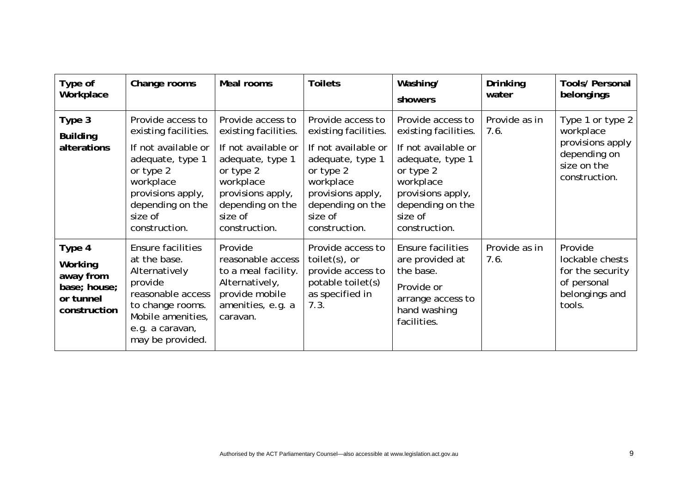| Type of<br>Workplace                                                        | Change rooms                                                                                                                                                                        | Meal rooms                                                                                                                                                                          | <b>Toilets</b>                                                                                                                                                                      | Washing/<br>showers                                                                                                                                                                 | Drinking<br>water     | <b>Tools/ Personal</b><br>belongings                                                              |
|-----------------------------------------------------------------------------|-------------------------------------------------------------------------------------------------------------------------------------------------------------------------------------|-------------------------------------------------------------------------------------------------------------------------------------------------------------------------------------|-------------------------------------------------------------------------------------------------------------------------------------------------------------------------------------|-------------------------------------------------------------------------------------------------------------------------------------------------------------------------------------|-----------------------|---------------------------------------------------------------------------------------------------|
| Type 3<br><b>Building</b><br>alterations                                    | Provide access to<br>existing facilities.<br>If not available or<br>adequate, type 1<br>or type 2<br>workplace<br>provisions apply,<br>depending on the<br>size of<br>construction. | Provide access to<br>existing facilities.<br>If not available or<br>adequate, type 1<br>or type 2<br>workplace<br>provisions apply,<br>depending on the<br>size of<br>construction. | Provide access to<br>existing facilities.<br>If not available or<br>adequate, type 1<br>or type 2<br>workplace<br>provisions apply,<br>depending on the<br>size of<br>construction. | Provide access to<br>existing facilities.<br>If not available or<br>adequate, type 1<br>or type 2<br>workplace<br>provisions apply,<br>depending on the<br>size of<br>construction. | Provide as in<br>7.6. | Type 1 or type 2<br>workplace<br>provisions apply<br>depending on<br>size on the<br>construction. |
| Type 4<br>Working<br>away from<br>base; house;<br>or tunnel<br>construction | Ensure facilities<br>at the base.<br>Alternatively<br>provide<br>reasonable access<br>to change rooms.<br>Mobile amenities,<br>e.g. a caravan,<br>may be provided.                  | Provide<br>reasonable access<br>to a meal facility.<br>Alternatively,<br>provide mobile<br>amenities, e.g. a<br>caravan.                                                            | Provide access to<br>toilet $(s)$ , or<br>provide access to<br>potable toilet(s)<br>as specified in<br>7.3.                                                                         | <b>Ensure facilities</b><br>are provided at<br>the base.<br>Provide or<br>arrange access to<br>hand washing<br>facilities.                                                          | Provide as in<br>7.6. | Provide<br>lockable chests<br>for the security<br>of personal<br>belongings and<br>tools.         |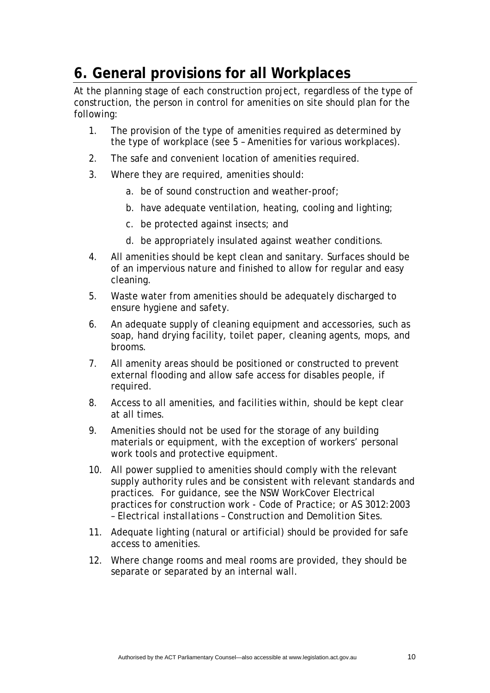# <span id="page-9-0"></span>**6. General provisions for all Workplaces**

At the planning stage of each construction project, regardless of the type of construction, the person in control for amenities on site should plan for the following:

- 1. The provision of the type of amenities required as determined by the type of workplace (see 5 – Amenities for various workplaces).
- 2. The safe and convenient location of amenities required.
- 3. Where they are required, amenities should:
	- a. be of sound construction and weather-proof;
	- b. have adequate ventilation, heating, cooling and lighting;
	- c. be protected against insects; and
	- d. be appropriately insulated against weather conditions.
- 4. All amenities should be kept clean and sanitary. Surfaces should be of an impervious nature and finished to allow for regular and easy cleaning.
- 5. Waste water from amenities should be adequately discharged to ensure hygiene and safety.
- 6. An adequate supply of cleaning equipment and accessories, such as soap, hand drying facility, toilet paper, cleaning agents, mops, and brooms.
- 7. All amenity areas should be positioned or constructed to prevent external flooding and allow safe access for disables people, if required.
- 8. Access to all amenities, and facilities within, should be kept clear at all times.
- 9. Amenities should not be used for the storage of any building materials or equipment, with the exception of workers' personal work tools and protective equipment.
- 10. All power supplied to amenities should comply with the relevant supply authority rules and be consistent with relevant standards and practices. For guidance, see the NSW WorkCover Electrical practices for construction work - Code of Practice; or *AS 3012:2003 – Electrical installations – Construction and Demolition Sites*.
- 11. Adequate lighting (natural or artificial) should be provided for safe access to amenities.
- 12. Where change rooms and meal rooms are provided, they should be separate or separated by an internal wall.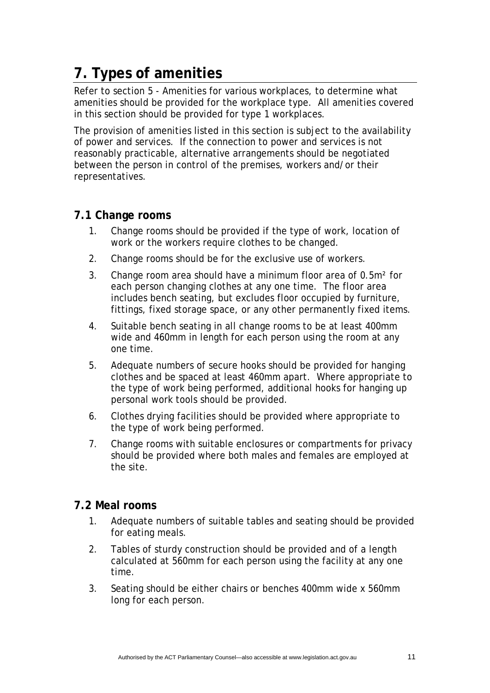# <span id="page-10-0"></span>**7. Types of amenities**

Refer to section 5 - Amenities for various workplaces, to determine what amenities should be provided for the workplace type. All amenities covered in this section should be provided for type 1 workplaces.

The provision of amenities listed in this section is subject to the availability of power and services. If the connection to power and services is not reasonably practicable, alternative arrangements should be negotiated between the person in control of the premises, workers and/or their representatives.

#### **7.1 Change rooms**

- 1. Change rooms should be provided if the type of work, location of work or the workers require clothes to be changed.
- 2. Change rooms should be for the exclusive use of workers.
- 3. Change room area should have a minimum floor area of 0.5m² for each person changing clothes at any one time. The floor area includes bench seating, but excludes floor occupied by furniture, fittings, fixed storage space, or any other permanently fixed items.
- 4. Suitable bench seating in all change rooms to be at least 400mm wide and 460mm in length for each person using the room at any one time.
- 5. Adequate numbers of secure hooks should be provided for hanging clothes and be spaced at least 460mm apart. Where appropriate to the type of work being performed, additional hooks for hanging up personal work tools should be provided.
- 6. Clothes drying facilities should be provided where appropriate to the type of work being performed.
- 7. Change rooms with suitable enclosures or compartments for privacy should be provided where both males and females are employed at the site.

#### **7.2 Meal rooms**

- 1. Adequate numbers of suitable tables and seating should be provided for eating meals.
- 2. Tables of sturdy construction should be provided and of a length calculated at 560mm for each person using the facility at any one time.
- 3. Seating should be either chairs or benches 400mm wide x 560mm long for each person.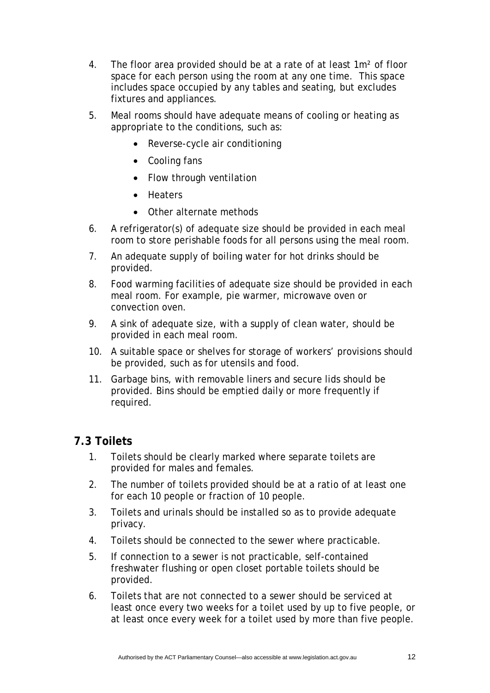- <span id="page-11-0"></span>4. The floor area provided should be at a rate of at least 1m² of floor space for each person using the room at any one time. This space includes space occupied by any tables and seating, but excludes fixtures and appliances.
- 5. Meal rooms should have adequate means of cooling or heating as appropriate to the conditions, such as:
	- Reverse-cycle air conditioning
	- Cooling fans
	- Flow through ventilation
	- Heaters
	- Other alternate methods
- 6. A refrigerator(s) of adequate size should be provided in each meal room to store perishable foods for all persons using the meal room.
- 7. An adequate supply of boiling water for hot drinks should be provided.
- 8. Food warming facilities of adequate size should be provided in each meal room. For example, pie warmer, microwave oven or convection oven.
- 9. A sink of adequate size, with a supply of clean water, should be provided in each meal room.
- 10. A suitable space or shelves for storage of workers' provisions should be provided, such as for utensils and food.
- 11. Garbage bins, with removable liners and secure lids should be provided. Bins should be emptied daily or more frequently if required.

#### **7.3 Toilets**

- 1. Toilets should be clearly marked where separate toilets are provided for males and females.
- 2. The number of toilets provided should be at a ratio of at least one for each 10 people or fraction of 10 people.
- 3. Toilets and urinals should be installed so as to provide adequate privacy.
- 4. Toilets should be connected to the sewer where practicable.
- 5. If connection to a sewer is not practicable, self-contained freshwater flushing or open closet portable toilets should be provided.
- 6. Toilets that are not connected to a sewer should be serviced at least once every two weeks for a toilet used by up to five people, or at least once every week for a toilet used by more than five people.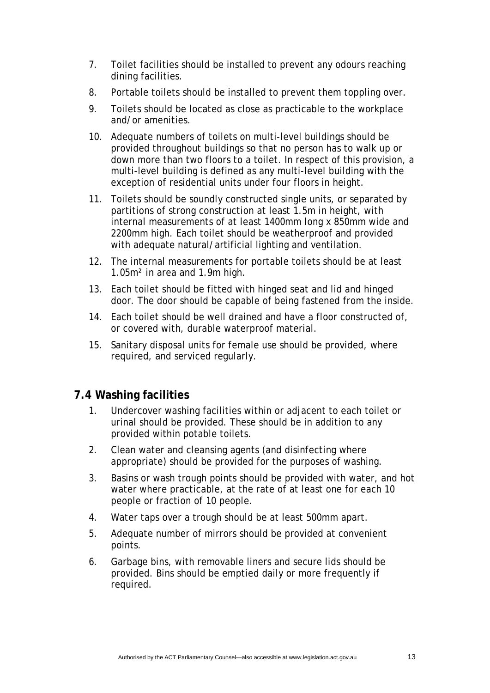- <span id="page-12-0"></span>7. Toilet facilities should be installed to prevent any odours reaching dining facilities.
- 8. Portable toilets should be installed to prevent them toppling over.
- 9. Toilets should be located as close as practicable to the workplace and/or amenities.
- 10. Adequate numbers of toilets on multi-level buildings should be provided throughout buildings so that no person has to walk up or down more than two floors to a toilet. In respect of this provision, a multi-level building is defined as any multi-level building with the exception of residential units under four floors in height.
- 11. Toilets should be soundly constructed single units, or separated by partitions of strong construction at least 1.5m in height, with internal measurements of at least 1400mm long x 850mm wide and 2200mm high. Each toilet should be weatherproof and provided with adequate natural/artificial lighting and ventilation.
- 12. The internal measurements for portable toilets should be at least 1.05m² in area and 1.9m high.
- 13. Each toilet should be fitted with hinged seat and lid and hinged door. The door should be capable of being fastened from the inside.
- 14. Each toilet should be well drained and have a floor constructed of, or covered with, durable waterproof material.
- 15. Sanitary disposal units for female use should be provided, where required, and serviced regularly.

#### **7.4 Washing facilities**

- 1. Undercover washing facilities within or adjacent to each toilet or urinal should be provided. These should be in addition to any provided within potable toilets.
- 2. Clean water and cleansing agents (and disinfecting where appropriate) should be provided for the purposes of washing.
- 3. Basins or wash trough points should be provided with water, and hot water where practicable, at the rate of at least one for each 10 people or fraction of 10 people.
- 4. Water taps over a trough should be at least 500mm apart.
- 5. Adequate number of mirrors should be provided at convenient points.
- 6. Garbage bins, with removable liners and secure lids should be provided. Bins should be emptied daily or more frequently if required.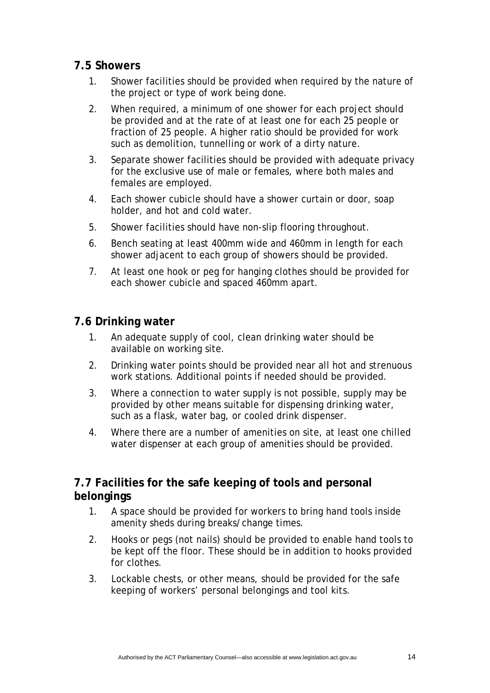#### <span id="page-13-0"></span>**7.5 Showers**

- 1. Shower facilities should be provided when required by the nature of the project or type of work being done.
- 2. When required, a minimum of one shower for each project should be provided and at the rate of at least one for each 25 people or fraction of 25 people. A higher ratio should be provided for work such as demolition, tunnelling or work of a dirty nature.
- 3. Separate shower facilities should be provided with adequate privacy for the exclusive use of male or females, where both males and females are employed.
- 4. Each shower cubicle should have a shower curtain or door, soap holder, and hot and cold water.
- 5. Shower facilities should have non-slip flooring throughout.
- 6. Bench seating at least 400mm wide and 460mm in length for each shower adjacent to each group of showers should be provided.
- 7. At least one hook or peg for hanging clothes should be provided for each shower cubicle and spaced 460mm apart.

#### **7.6 Drinking water**

- 1. An adequate supply of cool, clean drinking water should be available on working site.
- 2. Drinking water points should be provided near all hot and strenuous work stations. Additional points if needed should be provided.
- 3. Where a connection to water supply is not possible, supply may be provided by other means suitable for dispensing drinking water, such as a flask, water bag, or cooled drink dispenser.
- 4. Where there are a number of amenities on site, at least one chilled water dispenser at each group of amenities should be provided.

#### **7.7 Facilities for the safe keeping of tools and personal belongings**

- 1. A space should be provided for workers to bring hand tools inside amenity sheds during breaks/change times.
- 2. Hooks or pegs (not nails) should be provided to enable hand tools to be kept off the floor. These should be in addition to hooks provided for clothes.
- 3. Lockable chests, or other means, should be provided for the safe keeping of workers' personal belongings and tool kits.